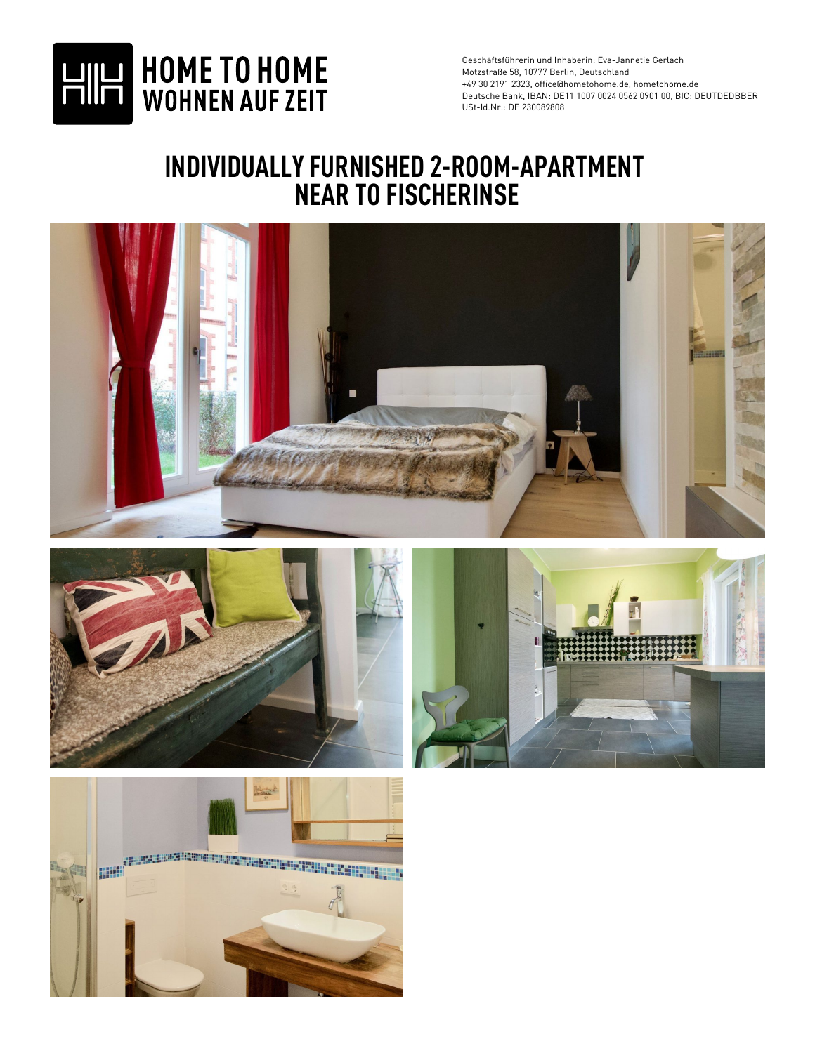

## **INDIVIDUALLY FURNISHED 2-ROOM-APARTMENT NEAR TO FISCHERINSE**







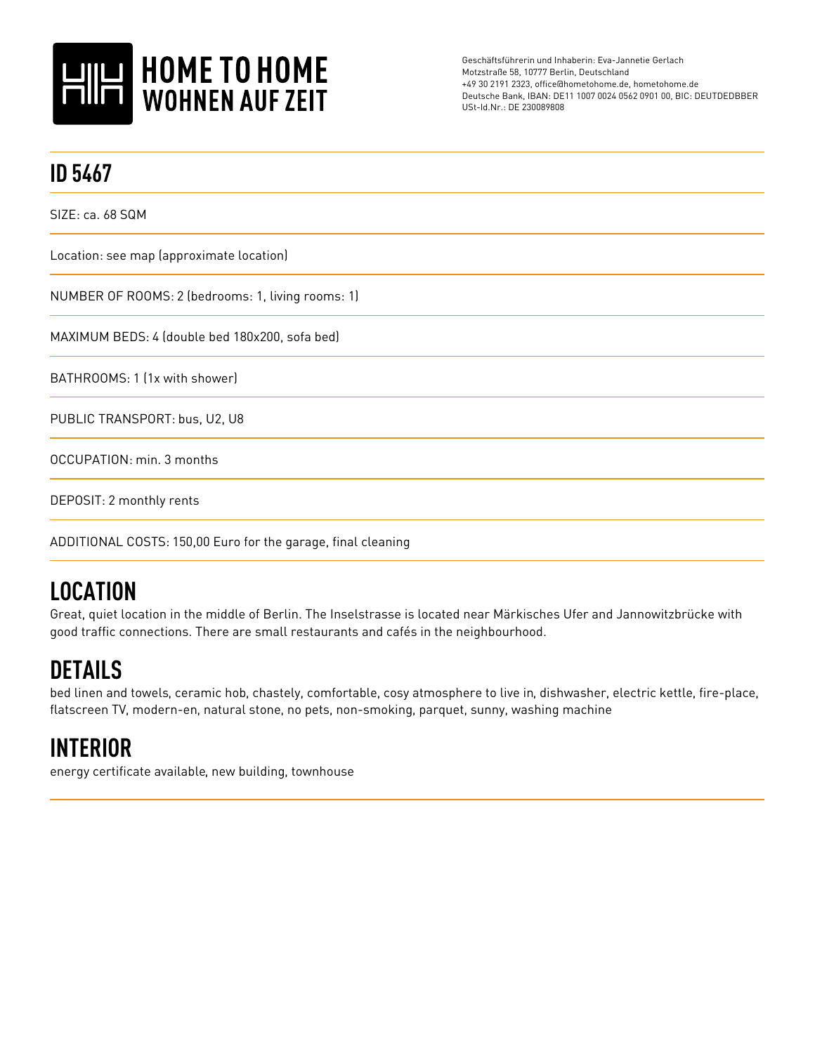

| <b>ID 5467</b>                                               |
|--------------------------------------------------------------|
| SIZE: ca. 68 SQM                                             |
| Location: see map (approximate location)                     |
| NUMBER OF ROOMS: 2 (bedrooms: 1, living rooms: 1)            |
| MAXIMUM BEDS: 4 (double bed 180x200, sofa bed)               |
| BATHROOMS: 1 (1x with shower)                                |
| PUBLIC TRANSPORT: bus, U2, U8                                |
| OCCUPATION: min. 3 months                                    |
| DEPOSIT: 2 monthly rents                                     |
| ADDITIONAL COSTS: 150,00 Euro for the garage, final cleaning |

## **LOCATION**

Great, quiet location in the middle of Berlin. The Inselstrasse is located near Märkisches Ufer and Jannowitzbrücke with good traffic connections. There are small restaurants and cafés in the neighbourhood.

## **DETAILS**

bed linen and towels, ceramic hob, chastely, comfortable, cosy atmosphere to live in, dishwasher, electric kettle, fire-place, flatscreen TV, modern-en, natural stone, no pets, non-smoking, parquet, sunny, washing machine

## **INTERIOR**

energy certificate available, new building, townhouse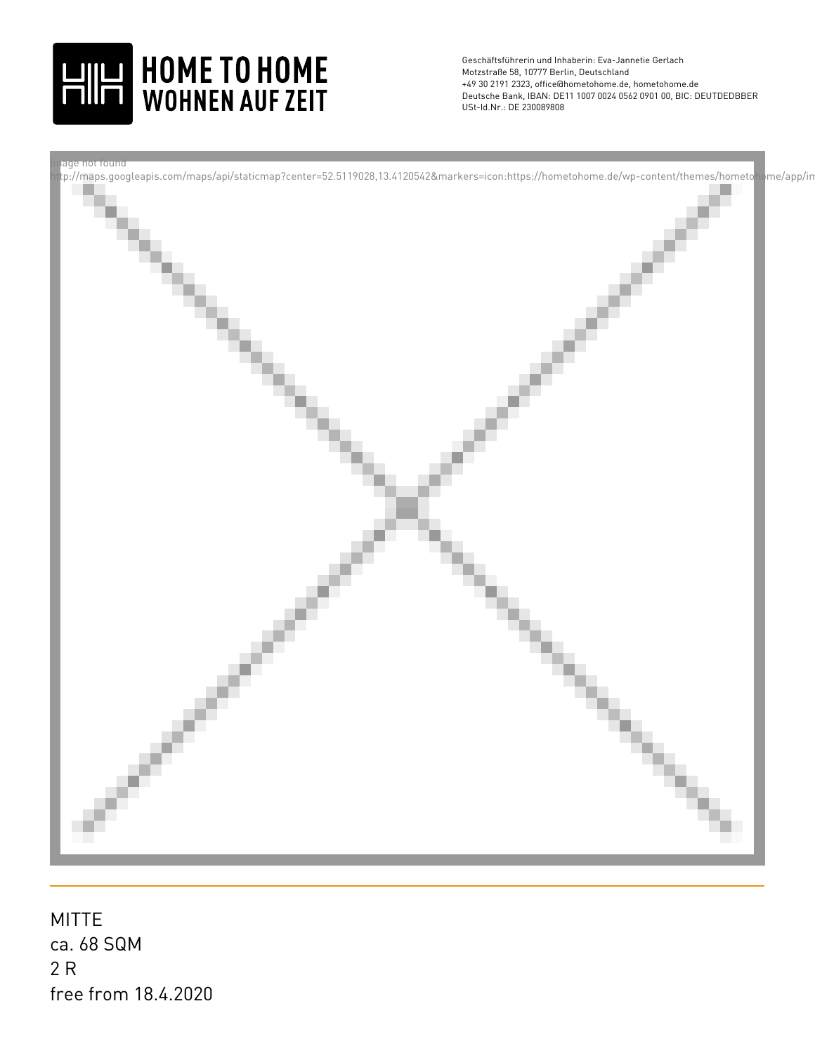



ca. 68 SQM 2 R MITTE free from 18.4.2020